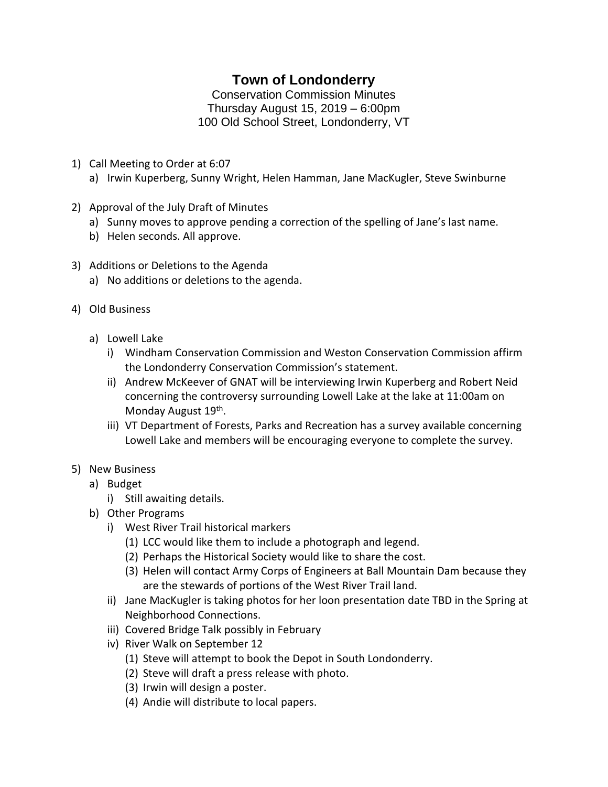## **Town of Londonderry**

Conservation Commission Minutes Thursday August 15, 2019 – 6:00pm 100 Old School Street, Londonderry, VT

- 1) Call Meeting to Order at 6:07
	- a) Irwin Kuperberg, Sunny Wright, Helen Hamman, Jane MacKugler, Steve Swinburne
- 2) Approval of the July Draft of Minutes
	- a) Sunny moves to approve pending a correction of the spelling of Jane's last name.
	- b) Helen seconds. All approve.
- 3) Additions or Deletions to the Agenda
	- a) No additions or deletions to the agenda.
- 4) Old Business
	- a) Lowell Lake
		- i) Windham Conservation Commission and Weston Conservation Commission affirm the Londonderry Conservation Commission's statement.
		- ii) Andrew McKeever of GNAT will be interviewing Irwin Kuperberg and Robert Neid concerning the controversy surrounding Lowell Lake at the lake at 11:00am on Monday August 19<sup>th</sup>.
		- iii) VT Department of Forests, Parks and Recreation has a survey available concerning Lowell Lake and members will be encouraging everyone to complete the survey.
- 5) New Business
	- a) Budget
		- i) Still awaiting details.
	- b) Other Programs
		- i) West River Trail historical markers
			- (1) LCC would like them to include a photograph and legend.
			- (2) Perhaps the Historical Society would like to share the cost.
			- (3) Helen will contact Army Corps of Engineers at Ball Mountain Dam because they are the stewards of portions of the West River Trail land.
		- ii) Jane MacKugler is taking photos for her loon presentation date TBD in the Spring at Neighborhood Connections.
		- iii) Covered Bridge Talk possibly in February
		- iv) River Walk on September 12
			- (1) Steve will attempt to book the Depot in South Londonderry.
			- (2) Steve will draft a press release with photo.
			- (3) Irwin will design a poster.
			- (4) Andie will distribute to local papers.